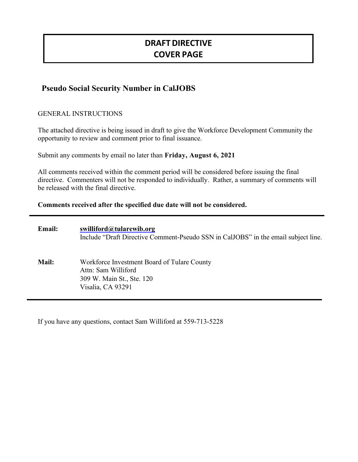# **DRAFTDIRECTIVE COVER PAGE**

# **Pseudo Social Security Number in CalJOBS**

GENERAL INSTRUCTIONS

The attached directive is being issued in draft to give the Workforce Development Community the opportunity to review and comment prior to final issuance.

Submit any comments by email no later than **Friday, August 6, 2021**

All comments received within the comment period will be considered before issuing the final directive. Commenters will not be responded to individually. Rather, a summary of comments will be released with the final directive.

**Comments received after the specified due date will not be considered.**

| <b>Email:</b> | swilliford@tularewib.org<br>Include "Draft Directive Comment-Pseudo SSN in CalJOBS" in the email subject line.       |
|---------------|----------------------------------------------------------------------------------------------------------------------|
| <b>Mail:</b>  | Workforce Investment Board of Tulare County<br>Attn: Sam Williford<br>309 W. Main St., Ste. 120<br>Visalia, CA 93291 |

If you have any questions, contact Sam Williford at 559-713-5228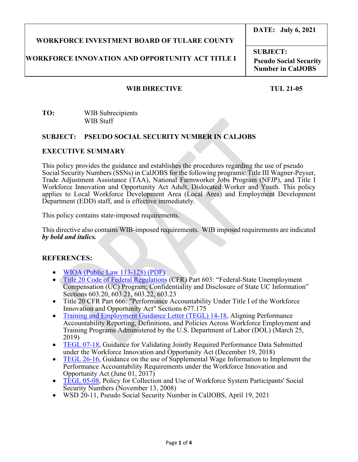# **WORKFORCE INVESTMENT BOARD OF TULARE COUNTY**

### **WORKFORCE INNOVATION AND OPPORTUNITY ACT TITLE I**

# **DATE: July 6, 2021**

**SUBJECT: Pseudo Social Security Number in CalJOBS**

#### **WIB DIRECTIVE TUL 21-05**

#### **TO:** WIB Subrecipients WIB Staff

#### **SUBJECT: PSEUDO SOCIAL SECURITY NUMBER IN CALJOBS**

#### **EXECUTIVE SUMMARY**

This policy provides the guidance and establishes the procedures regarding the use of pseudo Social Security Numbers (SSNs) in CalJOBS for the following programs: Title III Wagner-Peyser, Trade Adjustment Assistance (TAA), National Farmworker Jobs Program (NFJP), and Title I Workforce Innovation and Opportunity Act Adult, Dislocated Worker and Youth. This policy applies to Local Workforce Development Area (Local Area) and Employment Development Department (EDD) staff, and is effective immediately.

This policy contains state-imposed requirements.

This directive also contains WIB-imposed requirements. WIB imposed requirements are indicated *by bold and italics.*

#### **REFERENCES:**

- [WIOA \(Public Law 113-128\) \(PDF\)](https://www.govinfo.gov/content/pkg/PLAW-113publ128/pdf/PLAW-113publ128.pdf)
- [Title 20 Code of Federal Regulations](https://www.ecfr.gov/cgi-bin/text-idx?SID=6feb21deeefaf1ca8ea0a4be166b77f0&mc=true&tpl=/ecfrbrowse/Title20/20tab_02.tpl) (CFR) Part 603: "Federal-State Unemployment Compensation (UC) Program; Confidentiality and Disclosure of State UC Information" Sections 603.20, 603.21, 603.22, 603.23
- Title 20 CFR Part 666: "Performance Accountability Under Title I of the Workforce Innovation and Opportunity Act" Sections 677.175
- [Training and Employment Guidance Letter \(TEGL\) 14-18,](https://wdr.doleta.gov/directives/corr_doc.cfm?DOCN=7611) Aligning Performance Accountability Reporting, Definitions, and Policies Across Workforce Employment and Training Programs Administered by the U.S. Department of Labor (DOL) (March 25, 2019)
- [TEGL 07-18,](https://wdr.doleta.gov/directives/corr_doc.cfm?DOCN=4255) Guidance for Validating Jointly Required Performance Data Submitted under the Workforce Innovation and Opportunity Act (December 19, 2018)
- [TEGL 26-16,](https://wdr.doleta.gov/directives/corr_doc.cfm?DOCN=5002) Guidance on the use of Supplemental Wage Information to Implement the Performance Accountability Requirements under the Workforce Innovation and Opportunity Act (June 01, 2017)
- [TEGL 05-08,](https://wdr.doleta.gov/directives/corr_doc.cfm?DOCN=2680) Policy for Collection and Use of Workforce System Participants' Social Security Numbers (November 13, 2008)
- WSD 20-11, Pseudo Social Security Number in CalJOBS, April 19, 2021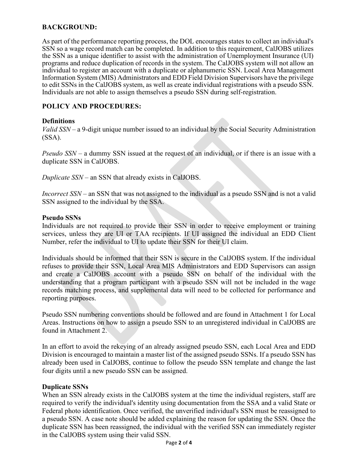#### **BACKGROUND:**

As part of the performance reporting process, the DOL encourages states to collect an individual's SSN so a wage record match can be completed. In addition to this requirement, CalJOBS utilizes the SSN as a unique identifier to assist with the administration of Unemployment Insurance (UI) programs and reduce duplication of records in the system. The CalJOBS system will not allow an individual to register an account with a duplicate or alphanumeric SSN. Local Area Management Information System (MIS) Administrators and EDD Field Division Supervisors have the privilege to edit SSNs in the CalJOBS system, as well as create individual registrations with a pseudo SSN. Individuals are not able to assign themselves a pseudo SSN during self-registration.

#### **POLICY AND PROCEDURES:**

#### **Definitions**

*Valid SSN* – a 9-digit unique number issued to an individual by the Social Security Administration (SSA).

*Pseudo SSN* – a dummy SSN issued at the request of an individual, or if there is an issue with a duplicate SSN in CalJOBS.

*Duplicate SSN* – an SSN that already exists in CalJOBS.

*Incorrect SSN* – an SSN that was not assigned to the individual as a pseudo SSN and is not a valid SSN assigned to the individual by the SSA.

#### **Pseudo SSNs**

Individuals are not required to provide their SSN in order to receive employment or training services, unless they are UI or TAA recipients. If UI assigned the individual an EDD Client Number, refer the individual to UI to update their SSN for their UI claim.

Individuals should be informed that their SSN is secure in the CalJOBS system. If the individual refuses to provide their SSN, Local Area MIS Administrators and EDD Supervisors can assign and create a CalJOBS account with a pseudo SSN on behalf of the individual with the understanding that a program participant with a pseudo SSN will not be included in the wage records matching process, and supplemental data will need to be collected for performance and reporting purposes.

Pseudo SSN numbering conventions should be followed and are found in Attachment 1 for Local Areas. Instructions on how to assign a pseudo SSN to an unregistered individual in CalJOBS are found in Attachment 2.

In an effort to avoid the rekeying of an already assigned pseudo SSN, each Local Area and EDD Division is encouraged to maintain a master list of the assigned pseudo SSNs. If a pseudo SSN has already been used in CalJOBS, continue to follow the pseudo SSN template and change the last four digits until a new pseudo SSN can be assigned.

#### **Duplicate SSNs**

When an SSN already exists in the CalJOBS system at the time the individual registers, staff are required to verify the individual's identity using documentation from the SSA and a valid State or Federal photo identification. Once verified, the unverified individual's SSN must be reassigned to a pseudo SSN. A case note should be added explaining the reason for updating the SSN. Once the duplicate SSN has been reassigned, the individual with the verified SSN can immediately register in the CalJOBS system using their valid SSN.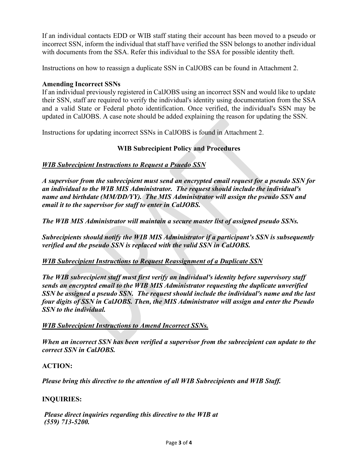If an individual contacts EDD or WIB staff stating their account has been moved to a pseudo or incorrect SSN, inform the individual that staff have verified the SSN belongs to another individual with documents from the SSA. Refer this individual to the SSA for possible identity theft.

Instructions on how to reassign a duplicate SSN in CalJOBS can be found in Attachment 2.

#### **Amending Incorrect SSNs**

If an individual previously registered in CalJOBS using an incorrect SSN and would like to update their SSN, staff are required to verify the individual's identity using documentation from the SSA and a valid State or Federal photo identification. Once verified, the individual's SSN may be updated in CalJOBS. A case note should be added explaining the reason for updating the SSN.

Instructions for updating incorrect SSNs in CalJOBS is found in Attachment 2.

#### **WIB Subrecipient Policy and Procedures**

#### *WIB Subrecipient Instructions to Request a Psuedo SSN*

*A supervisor from the subrecipient must send an encrypted email request for a pseudo SSN for an individual to the WIB MIS Administrator. The request should include the individual's name and birthdate (MM/DD/YY). The MIS Administrator will assign the pseudo SSN and email it to the supervisor for staff to enter in CalJOBS.*

*The WIB MIS Administrator will maintain a secure master list of assigned pseudo SSNs.* 

*Subrecipients should notify the WIB MIS Administrator if a participant's SSN is subsequently verified and the pseudo SSN is replaced with the valid SSN in CalJOBS.* 

#### *WIB Subrecipient Instructions to Request Reassignment of a Duplicate SSN*

*The WIB subrecipient staff must first verify an individual's identity before supervisory staff sends an encrypted email to the WIB MIS Administrator requesting the duplicate unverified SSN be assigned a pseudo SSN. The request should include the individual's name and the last four digits of SSN in CalJOBS. Then, the MIS Administrator will assign and enter the Pseudo SSN to the individual.*

#### *WIB Subrecipient Instructions to Amend Incorrect SSNs.*

*When an incorrect SSN has been verified a supervisor from the subrecipient can update to the correct SSN in CalJOBS.* 

#### **ACTION:**

*Please bring this directive to the attention of all WIB Subrecipients and WIB Staff.*

#### **INQUIRIES:**

*Please direct inquiries regarding this directive to the WIB at (559) 713-5200.*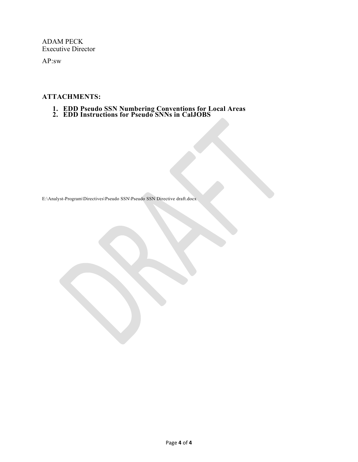ADAM PECK Executive Director

AP:sw

#### **ATTACHMENTS:**

- **1. EDD Pseudo SSN Numbering Conventions for Local Areas 2. EDD Instructions for Pseudo SNNs in CalJOBS**
- 

E:\Analyst-Program\Directives\Pseudo SSN\Pseudo SSN Directive draft.docx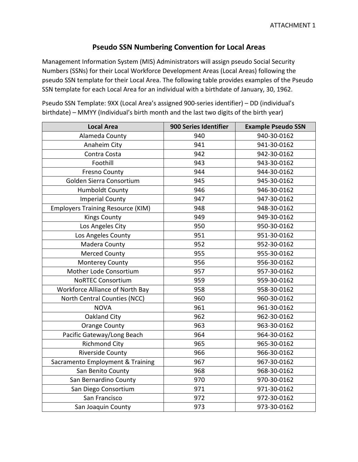# **Pseudo SSN Numbering Convention for Local Areas**

Management Information System (MIS) Administrators will assign pseudo Social Security Numbers (SSNs) for their Local Workforce Development Areas (Local Areas) following the pseudo SSN template for their Local Area. The following table provides examples of the Pseudo SSN template for each Local Area for an individual with a birthdate of January, 30, 1962.

| <b>Local Area</b>                        | 900 Series Identifier | <b>Example Pseudo SSN</b> |
|------------------------------------------|-----------------------|---------------------------|
| Alameda County                           | 940                   | 940-30-0162               |
| Anaheim City                             | 941                   | 941-30-0162               |
| Contra Costa                             | 942                   | 942-30-0162               |
| Foothill                                 | 943                   | 943-30-0162               |
| <b>Fresno County</b>                     | 944                   | 944-30-0162               |
| Golden Sierra Consortium                 | 945                   | 945-30-0162               |
| <b>Humboldt County</b>                   | 946                   | 946-30-0162               |
| <b>Imperial County</b>                   | 947                   | 947-30-0162               |
| <b>Employers Training Resource (KIM)</b> | 948                   | 948-30-0162               |
| <b>Kings County</b>                      | 949                   | 949-30-0162               |
| Los Angeles City                         | 950                   | 950-30-0162               |
| Los Angeles County                       | 951                   | 951-30-0162               |
| Madera County                            | 952                   | 952-30-0162               |
| <b>Merced County</b>                     | 955                   | 955-30-0162               |
| <b>Monterey County</b>                   | 956                   | 956-30-0162               |
| Mother Lode Consortium                   | 957                   | 957-30-0162               |
| <b>NoRTEC Consortium</b>                 | 959                   | 959-30-0162               |
| Workforce Alliance of North Bay          | 958                   | 958-30-0162               |
| North Central Counties (NCC)             | 960                   | 960-30-0162               |
| <b>NOVA</b>                              | 961                   | 961-30-0162               |
| Oakland City                             | 962                   | 962-30-0162               |
| <b>Orange County</b>                     | 963                   | 963-30-0162               |
| Pacific Gateway/Long Beach               | 964                   | 964-30-0162               |
| <b>Richmond City</b>                     | 965                   | 965-30-0162               |
| <b>Riverside County</b>                  | 966                   | 966-30-0162               |
| Sacramento Employment & Training         | 967                   | 967-30-0162               |
| San Benito County                        | 968                   | 968-30-0162               |
| San Bernardino County                    | 970                   | 970-30-0162               |
| San Diego Consortium                     | 971                   | 971-30-0162               |
| San Francisco                            | 972                   | 972-30-0162               |
| San Joaquin County                       | 973                   | 973-30-0162               |

Pseudo SSN Template: 9XX (Local Area's assigned 900-series identifier) – DD (individual's birthdate) – MMYY (Individual's birth month and the last two digits of the birth year)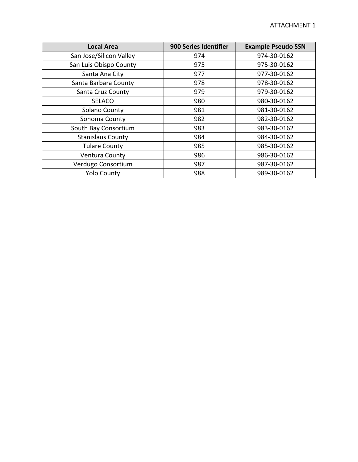| <b>Local Area</b>        | 900 Series Identifier | <b>Example Pseudo SSN</b> |
|--------------------------|-----------------------|---------------------------|
| San Jose/Silicon Valley  | 974                   | 974-30-0162               |
| San Luis Obispo County   | 975                   | 975-30-0162               |
| Santa Ana City           | 977                   | 977-30-0162               |
| Santa Barbara County     | 978                   | 978-30-0162               |
| Santa Cruz County        | 979                   | 979-30-0162               |
| <b>SELACO</b>            | 980                   | 980-30-0162               |
| Solano County            | 981                   | 981-30-0162               |
| Sonoma County            | 982                   | 982-30-0162               |
| South Bay Consortium     | 983                   | 983-30-0162               |
| <b>Stanislaus County</b> | 984                   | 984-30-0162               |
| <b>Tulare County</b>     | 985                   | 985-30-0162               |
| <b>Ventura County</b>    | 986                   | 986-30-0162               |
| Verdugo Consortium       | 987                   | 987-30-0162               |
| <b>Yolo County</b>       | 988                   | 989-30-0162               |